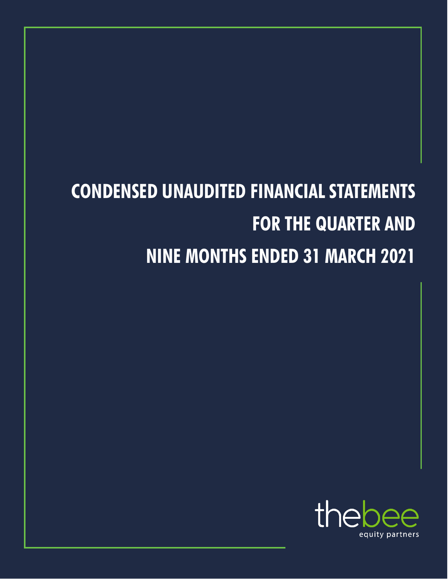# **CONDENSED UNAUDITED FINANCIAL STATEMENTS FOR THE QUARTER AND NINE MONTHS ENDED 31 MARCH 2021**